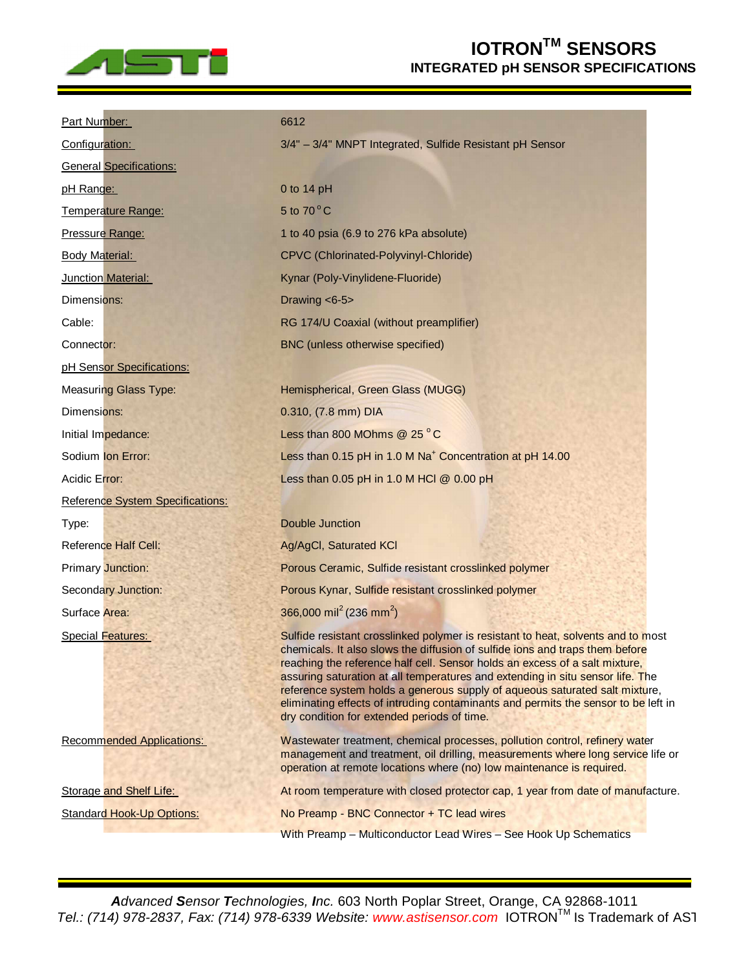

## **IOTRONTM SENSORS INTEGRATED pH SENSOR SPECIFICATIONS**

| Part Number:                     | 6612                                                                                                                                                                                                                                                                                                                                                                                                                                                                                                                                                  |
|----------------------------------|-------------------------------------------------------------------------------------------------------------------------------------------------------------------------------------------------------------------------------------------------------------------------------------------------------------------------------------------------------------------------------------------------------------------------------------------------------------------------------------------------------------------------------------------------------|
| Configuration:                   | 3/4" - 3/4" MNPT Integrated, Sulfide Resistant pH Sensor                                                                                                                                                                                                                                                                                                                                                                                                                                                                                              |
| <b>General Specifications:</b>   |                                                                                                                                                                                                                                                                                                                                                                                                                                                                                                                                                       |
| pH Range:                        | 0 to 14 pH                                                                                                                                                                                                                                                                                                                                                                                                                                                                                                                                            |
| Temperature Range:               | 5 to $70^{\circ}$ C                                                                                                                                                                                                                                                                                                                                                                                                                                                                                                                                   |
| Pressure Range:                  | 1 to 40 psia (6.9 to 276 kPa absolute)                                                                                                                                                                                                                                                                                                                                                                                                                                                                                                                |
| <b>Body Material:</b>            | CPVC (Chlorinated-Polyvinyl-Chloride)                                                                                                                                                                                                                                                                                                                                                                                                                                                                                                                 |
| Junction Material:               | Kynar (Poly-Vinylidene-Fluoride)                                                                                                                                                                                                                                                                                                                                                                                                                                                                                                                      |
| Dimensions:                      | Drawing $< 6-5$                                                                                                                                                                                                                                                                                                                                                                                                                                                                                                                                       |
| Cable:                           | RG 174/U Coaxial (without preamplifier)                                                                                                                                                                                                                                                                                                                                                                                                                                                                                                               |
| Connector:                       | BNC (unless otherwise specified)                                                                                                                                                                                                                                                                                                                                                                                                                                                                                                                      |
| pH Sensor Specifications:        |                                                                                                                                                                                                                                                                                                                                                                                                                                                                                                                                                       |
| <b>Measuring Glass Type:</b>     | Hemispherical, Green Glass (MUGG)                                                                                                                                                                                                                                                                                                                                                                                                                                                                                                                     |
| Dimensions:                      | 0.310, (7.8 mm) DIA                                                                                                                                                                                                                                                                                                                                                                                                                                                                                                                                   |
| Initial Impedance:               | Less than 800 MOhms @ 25 °C                                                                                                                                                                                                                                                                                                                                                                                                                                                                                                                           |
| Sodium Ion Error:                | Less than 0.15 pH in 1.0 M Na <sup>+</sup> Concentration at pH 14.00                                                                                                                                                                                                                                                                                                                                                                                                                                                                                  |
| Acidic Error:                    | Less than 0.05 pH in 1.0 M HCl @ 0.00 pH                                                                                                                                                                                                                                                                                                                                                                                                                                                                                                              |
| Reference System Specifications: |                                                                                                                                                                                                                                                                                                                                                                                                                                                                                                                                                       |
| Type:                            | <b>Double Junction</b>                                                                                                                                                                                                                                                                                                                                                                                                                                                                                                                                |
| <b>Reference Half Cell:</b>      | Ag/AgCl, Saturated KCl                                                                                                                                                                                                                                                                                                                                                                                                                                                                                                                                |
| <b>Primary Junction:</b>         | Porous Ceramic, Sulfide resistant crosslinked polymer                                                                                                                                                                                                                                                                                                                                                                                                                                                                                                 |
| <b>Secondary Junction:</b>       | Porous Kynar, Sulfide resistant crosslinked polymer                                                                                                                                                                                                                                                                                                                                                                                                                                                                                                   |
| Surface Area:                    | 366,000 mil <sup>2</sup> (236 mm <sup>2</sup> )                                                                                                                                                                                                                                                                                                                                                                                                                                                                                                       |
| Special Features:                | Sulfide resistant crosslinked polymer is resistant to heat, solvents and to most<br>chemicals. It also slows the diffusion of sulfide ions and traps them before<br>reaching the reference half cell. Sensor holds an excess of a salt mixture,<br>assuring saturation at all temperatures and extending in situ sensor life. The<br>reference system holds a generous supply of aqueous saturated salt mixture,<br>eliminating effects of intruding contaminants and permits the sensor to be left in<br>dry condition for extended periods of time. |
| <b>Recommended Applications:</b> | Wastewater treatment, chemical processes, pollution control, refinery water<br>management and treatment, oil drilling, measurements where long service life or<br>operation at remote locations where (no) low maintenance is required.                                                                                                                                                                                                                                                                                                               |
| Storage and Shelf Life:          | At room temperature with closed protector cap, 1 year from date of manufacture.                                                                                                                                                                                                                                                                                                                                                                                                                                                                       |
| <b>Standard Hook-Up Options:</b> | No Preamp - BNC Connector + TC lead wires                                                                                                                                                                                                                                                                                                                                                                                                                                                                                                             |
|                                  | With Preamp - Multiconductor Lead Wires - See Hook Up Schematics                                                                                                                                                                                                                                                                                                                                                                                                                                                                                      |